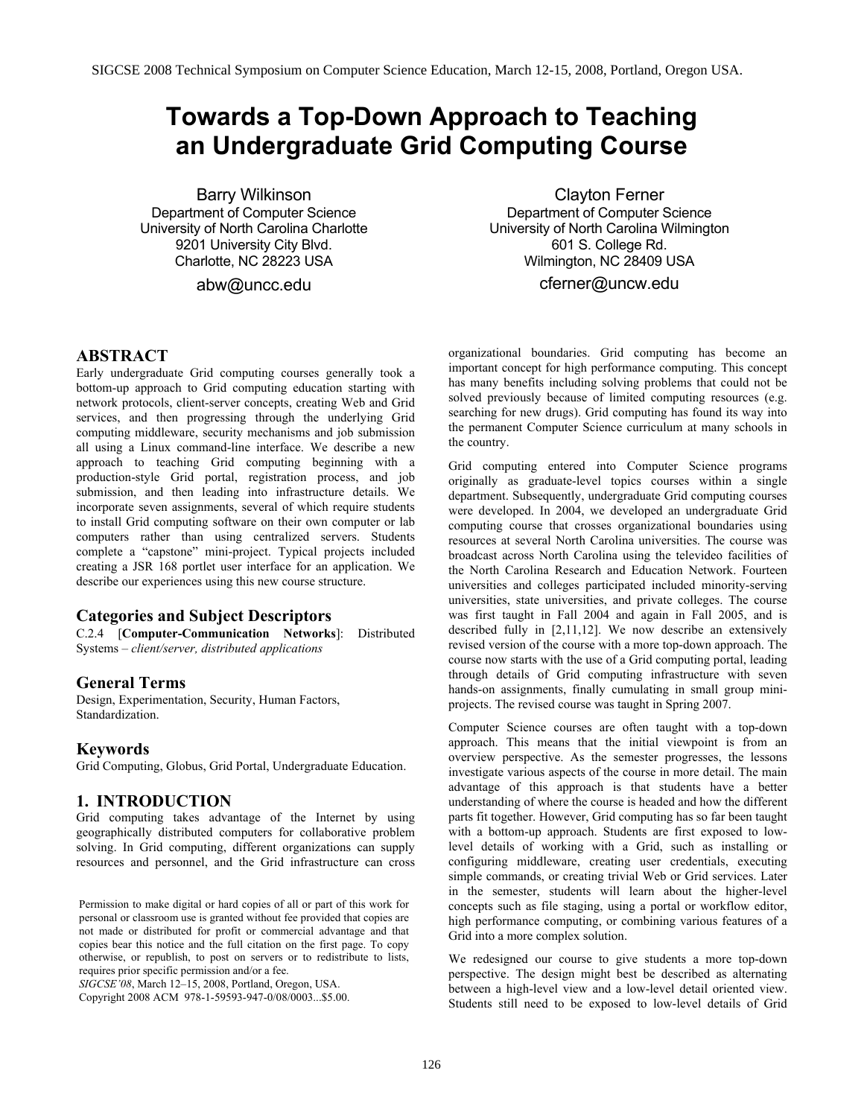# **Towards a Top-Down Approach to Teaching an Undergraduate Grid Computing Course**

Barry Wilkinson Department of Computer Science University of North Carolina Charlotte 9201 University City Blvd. Charlotte, NC 28223 USA

abw@uncc.edu

601 S. College Rd. Wilmington, NC 28409 USA cferner@uncw.edu

# **ABSTRACT**

Early undergraduate Grid computing courses generally took a bottom-up approach to Grid computing education starting with network protocols, client-server concepts, creating Web and Grid services, and then progressing through the underlying Grid computing middleware, security mechanisms and job submission all using a Linux command-line interface. We describe a new approach to teaching Grid computing beginning with a production-style Grid portal, registration process, and job submission, and then leading into infrastructure details. We incorporate seven assignments, several of which require students to install Grid computing software on their own computer or lab computers rather than using centralized servers. Students complete a "capstone" mini-project. Typical projects included creating a JSR 168 portlet user interface for an application. We describe our experiences using this new course structure.

### **Categories and Subject Descriptors**

C.2.4 [**Computer-Communication Networks**]: Distributed Systems – *client/server, distributed applications* 

### **General Terms**

Design, Experimentation, Security, Human Factors, Standardization.

#### **Keywords**

Grid Computing, Globus, Grid Portal, Undergraduate Education.

### **1. INTRODUCTION**

Grid computing takes advantage of the Internet by using geographically distributed computers for collaborative problem solving. In Grid computing, different organizations can supply resources and personnel, and the Grid infrastructure can cross

Permission to make digital or hard copies of all or part of this work for personal or classroom use is granted without fee provided that copies are not made or distributed for profit or commercial advantage and that copies bear this notice and the full citation on the first page. To copy otherwise, or republish, to post on servers or to redistribute to lists, requires prior specific permission and/or a fee.

*SIGCSE'08*, March 12–15, 2008, Portland, Oregon, USA.

Copyright 2008 ACM 978-1-59593-947-0/08/0003...\$5.00.

organizational boundaries. Grid computing has become an important concept for high performance computing. This concept has many benefits including solving problems that could not be solved previously because of limited computing resources (e.g. searching for new drugs). Grid computing has found its way into the permanent Computer Science curriculum at many schools in the country.

Clayton Ferner Department of Computer Science University of North Carolina Wilmington

Grid computing entered into Computer Science programs originally as graduate-level topics courses within a single department. Subsequently, undergraduate Grid computing courses were developed. In 2004, we developed an undergraduate Grid computing course that crosses organizational boundaries using resources at several North Carolina universities. The course was broadcast across North Carolina using the televideo facilities of the North Carolina Research and Education Network. Fourteen universities and colleges participated included minority-serving universities, state universities, and private colleges. The course was first taught in Fall 2004 and again in Fall 2005, and is described fully in [2,11,12]. We now describe an extensively revised version of the course with a more top-down approach. The course now starts with the use of a Grid computing portal, leading through details of Grid computing infrastructure with seven hands-on assignments, finally cumulating in small group miniprojects. The revised course was taught in Spring 2007.

Computer Science courses are often taught with a top-down approach. This means that the initial viewpoint is from an overview perspective. As the semester progresses, the lessons investigate various aspects of the course in more detail. The main advantage of this approach is that students have a better understanding of where the course is headed and how the different parts fit together. However, Grid computing has so far been taught with a bottom-up approach. Students are first exposed to lowlevel details of working with a Grid, such as installing or configuring middleware, creating user credentials, executing simple commands, or creating trivial Web or Grid services. Later in the semester, students will learn about the higher-level concepts such as file staging, using a portal or workflow editor, high performance computing, or combining various features of a Grid into a more complex solution.

We redesigned our course to give students a more top-down perspective. The design might best be described as alternating between a high-level view and a low-level detail oriented view. Students still need to be exposed to low-level details of Grid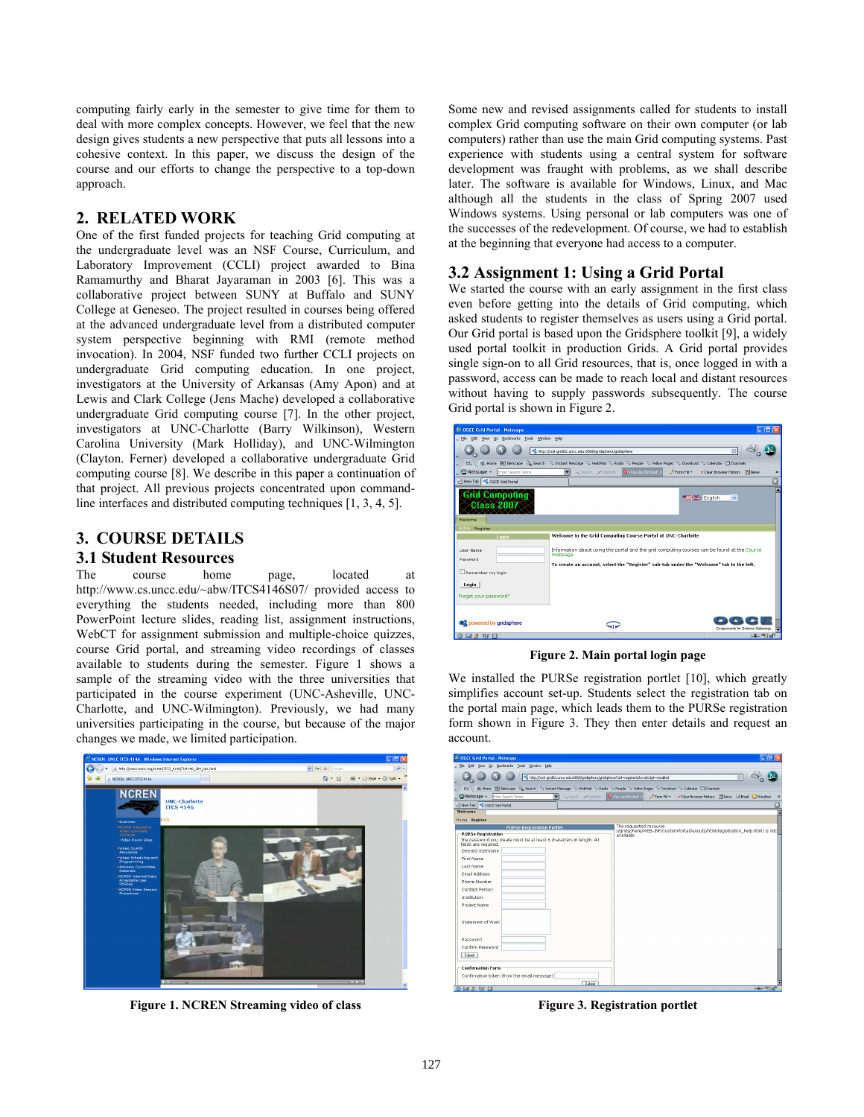computing fairly early in the semester to give time for them to deal with more complex concepts. However, we feel that the new design gives students a new perspective that puts all lessons into a cohesive context. In this paper, we discuss the design of the course and our efforts to change the perspective to a top-down approach.

## **2. RELATED WORK**

One of the first funded projects for teaching Grid computing at the undergraduate level was an NSF Course, Curriculum, and Laboratory Improvement (CCLI) project awarded to Bina Ramamurthy and Bharat Jayaraman in 2003 [6]. This was a collaborative project between SUNY at Buffalo and SUNY College at Geneseo. The project resulted in courses being offered at the advanced undergraduate level from a distributed computer system perspective beginning with RMI (remote method invocation). In 2004, NSF funded two further CCLI projects on undergraduate Grid computing education. In one project, investigators at the University of Arkansas (Amy Apon) and at Lewis and Clark College (Jens Mache) developed a collaborative undergraduate Grid computing course [7]. In the other project, investigators at UNC-Charlotte (Barry Wilkinson), Western Carolina University (Mark Holliday), and UNC-Wilmington (Clayton. Ferner) developed a collaborative undergraduate Grid computing course [8]. We describe in this paper a continuation of that project. All previous projects concentrated upon commandline interfaces and distributed computing techniques [1, 3, 4, 5].

# **3. COURSE DETAILS**

#### **3.1 Student Resources**

The course home page, located at http://www.cs.uncc.edu/~abw/ITCS4146S07/ provided access to everything the students needed, including more than 800 PowerPoint lecture slides, reading list, assignment instructions, WebCT for assignment submission and multiple-choice quizzes, course Grid portal, and streaming video recordings of classes available to students during the semester. Figure 1 shows a sample of the streaming video with the three universities that participated in the course experiment (UNC-Asheville, UNC-Charlotte, and UNC-Wilmington). Previously, we had many universities participating in the course, but because of the major changes we made, we limited participation.



**Figure 1. NCREN Streaming video of class** 

Some new and revised assignments called for students to install complex Grid computing software on their own computer (or lab computers) rather than use the main Grid computing systems. Past experience with students using a central system for software development was fraught with problems, as we shall describe later. The software is available for Windows, Linux, and Mac although all the students in the class of Spring 2007 used Windows systems. Using personal or lab computers was one of the successes of the redevelopment. Of course, we had to establish at the beginning that everyone had access to a computer.

## **3.2 Assignment 1: Using a Grid Portal**

We started the course with an early assignment in the first class even before getting into the details of Grid computing, which asked students to register themselves as users using a Grid portal. Our Grid portal is based upon the Gridsphere toolkit [9], a widely used portal toolkit in production Grids. A Grid portal provides single sign-on to all Grid resources, that is, once logged in with a password, access can be made to reach local and distant resources without having to supply passwords subsequently. The course Grid portal is shown in Figure 2.



**Figure 2. Main portal login page** 

We installed the PURSe registration portlet [10], which greatly simplifies account set-up. Students select the registration tab on the portal main page, which leads them to the PURSe registration form shown in Figure 3. They then enter details and request an account.

| di Home PRI Netscape QL Search   C Instant Message   WebMail   C Radio   C People   C Yellow Pages   C Download   C Calendar   C Channels<br>C Search Schichlight   Office-Und Blocked: 0<br>/ Form Fil ▼ Gear Browser History Hillyews 22 Email<br>Viewther<br>⊠<br>The requested resource<br> |
|-------------------------------------------------------------------------------------------------------------------------------------------------------------------------------------------------------------------------------------------------------------------------------------------------|
|                                                                                                                                                                                                                                                                                                 |
|                                                                                                                                                                                                                                                                                                 |
|                                                                                                                                                                                                                                                                                                 |
|                                                                                                                                                                                                                                                                                                 |
| available                                                                                                                                                                                                                                                                                       |
|                                                                                                                                                                                                                                                                                                 |
|                                                                                                                                                                                                                                                                                                 |
|                                                                                                                                                                                                                                                                                                 |
|                                                                                                                                                                                                                                                                                                 |
|                                                                                                                                                                                                                                                                                                 |
|                                                                                                                                                                                                                                                                                                 |
|                                                                                                                                                                                                                                                                                                 |
|                                                                                                                                                                                                                                                                                                 |
|                                                                                                                                                                                                                                                                                                 |
|                                                                                                                                                                                                                                                                                                 |
|                                                                                                                                                                                                                                                                                                 |
|                                                                                                                                                                                                                                                                                                 |
|                                                                                                                                                                                                                                                                                                 |

**Figure 3. Registration portlet**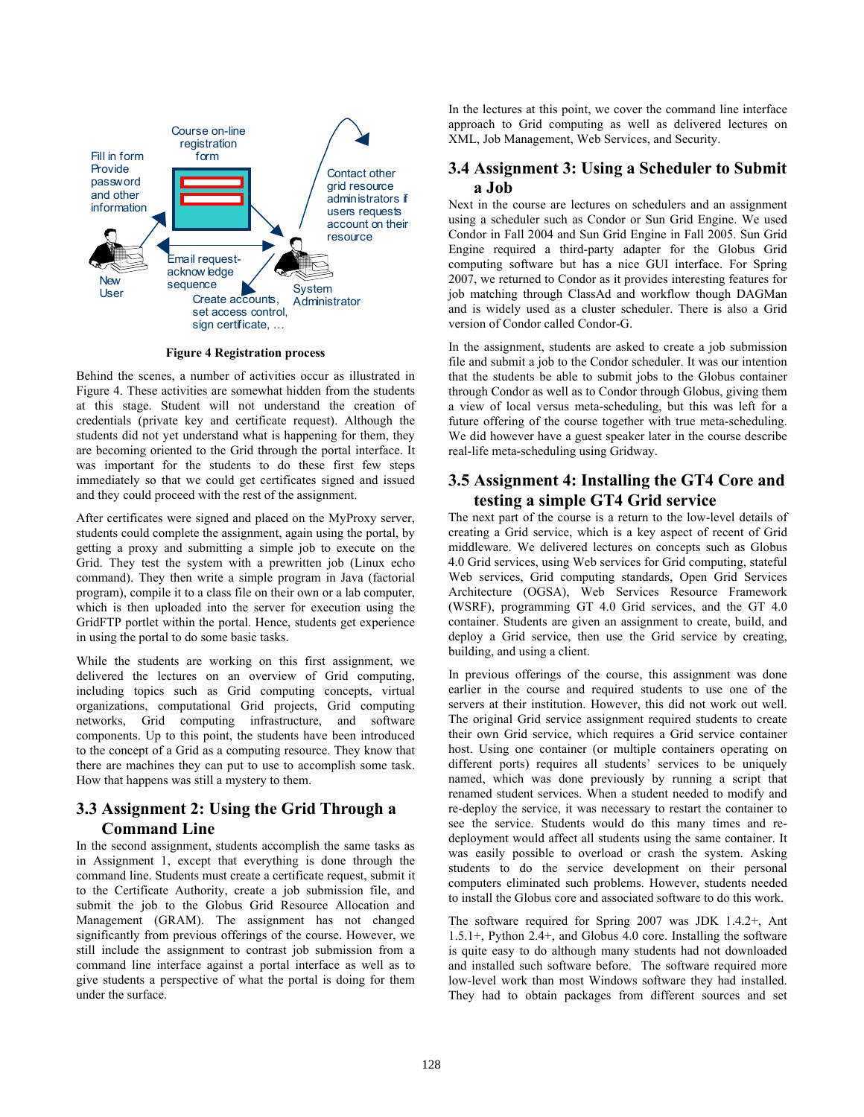

**Figure 4 Registration process** 

Behind the scenes, a number of activities occur as illustrated in Figure 4. These activities are somewhat hidden from the students at this stage. Student will not understand the creation of credentials (private key and certificate request). Although the students did not yet understand what is happening for them, they are becoming oriented to the Grid through the portal interface. It was important for the students to do these first few steps immediately so that we could get certificates signed and issued and they could proceed with the rest of the assignment.

After certificates were signed and placed on the MyProxy server, students could complete the assignment, again using the portal, by getting a proxy and submitting a simple job to execute on the Grid. They test the system with a prewritten job (Linux echo command). They then write a simple program in Java (factorial program), compile it to a class file on their own or a lab computer, which is then uploaded into the server for execution using the GridFTP portlet within the portal. Hence, students get experience in using the portal to do some basic tasks.

While the students are working on this first assignment, we delivered the lectures on an overview of Grid computing, including topics such as Grid computing concepts, virtual organizations, computational Grid projects, Grid computing networks, Grid computing infrastructure, and software components. Up to this point, the students have been introduced to the concept of a Grid as a computing resource. They know that there are machines they can put to use to accomplish some task. How that happens was still a mystery to them.

# **3.3 Assignment 2: Using the Grid Through a Command Line**

In the second assignment, students accomplish the same tasks as in Assignment 1, except that everything is done through the command line. Students must create a certificate request, submit it to the Certificate Authority, create a job submission file, and submit the job to the Globus Grid Resource Allocation and Management (GRAM). The assignment has not changed significantly from previous offerings of the course. However, we still include the assignment to contrast job submission from a command line interface against a portal interface as well as to give students a perspective of what the portal is doing for them under the surface.

In the lectures at this point, we cover the command line interface approach to Grid computing as well as delivered lectures on XML, Job Management, Web Services, and Security.

# **3.4 Assignment 3: Using a Scheduler to Submit a Job**

Next in the course are lectures on schedulers and an assignment using a scheduler such as Condor or Sun Grid Engine. We used Condor in Fall 2004 and Sun Grid Engine in Fall 2005. Sun Grid Engine required a third-party adapter for the Globus Grid computing software but has a nice GUI interface. For Spring 2007, we returned to Condor as it provides interesting features for job matching through ClassAd and workflow though DAGMan and is widely used as a cluster scheduler. There is also a Grid version of Condor called Condor-G.

In the assignment, students are asked to create a job submission file and submit a job to the Condor scheduler. It was our intention that the students be able to submit jobs to the Globus container through Condor as well as to Condor through Globus, giving them a view of local versus meta-scheduling, but this was left for a future offering of the course together with true meta-scheduling. We did however have a guest speaker later in the course describe real-life meta-scheduling using Gridway.

# **3.5 Assignment 4: Installing the GT4 Core and testing a simple GT4 Grid service**

The next part of the course is a return to the low-level details of creating a Grid service, which is a key aspect of recent of Grid middleware. We delivered lectures on concepts such as Globus 4.0 Grid services, using Web services for Grid computing, stateful Web services, Grid computing standards, Open Grid Services Architecture (OGSA), Web Services Resource Framework (WSRF), programming GT 4.0 Grid services, and the GT 4.0 container. Students are given an assignment to create, build, and deploy a Grid service, then use the Grid service by creating, building, and using a client.

In previous offerings of the course, this assignment was done earlier in the course and required students to use one of the servers at their institution. However, this did not work out well. The original Grid service assignment required students to create their own Grid service, which requires a Grid service container host. Using one container (or multiple containers operating on different ports) requires all students' services to be uniquely named, which was done previously by running a script that renamed student services. When a student needed to modify and re-deploy the service, it was necessary to restart the container to see the service. Students would do this many times and redeployment would affect all students using the same container. It was easily possible to overload or crash the system. Asking students to do the service development on their personal computers eliminated such problems. However, students needed to install the Globus core and associated software to do this work.

The software required for Spring 2007 was JDK 1.4.2+, Ant 1.5.1+, Python 2.4+, and Globus 4.0 core. Installing the software is quite easy to do although many students had not downloaded and installed such software before. The software required more low-level work than most Windows software they had installed. They had to obtain packages from different sources and set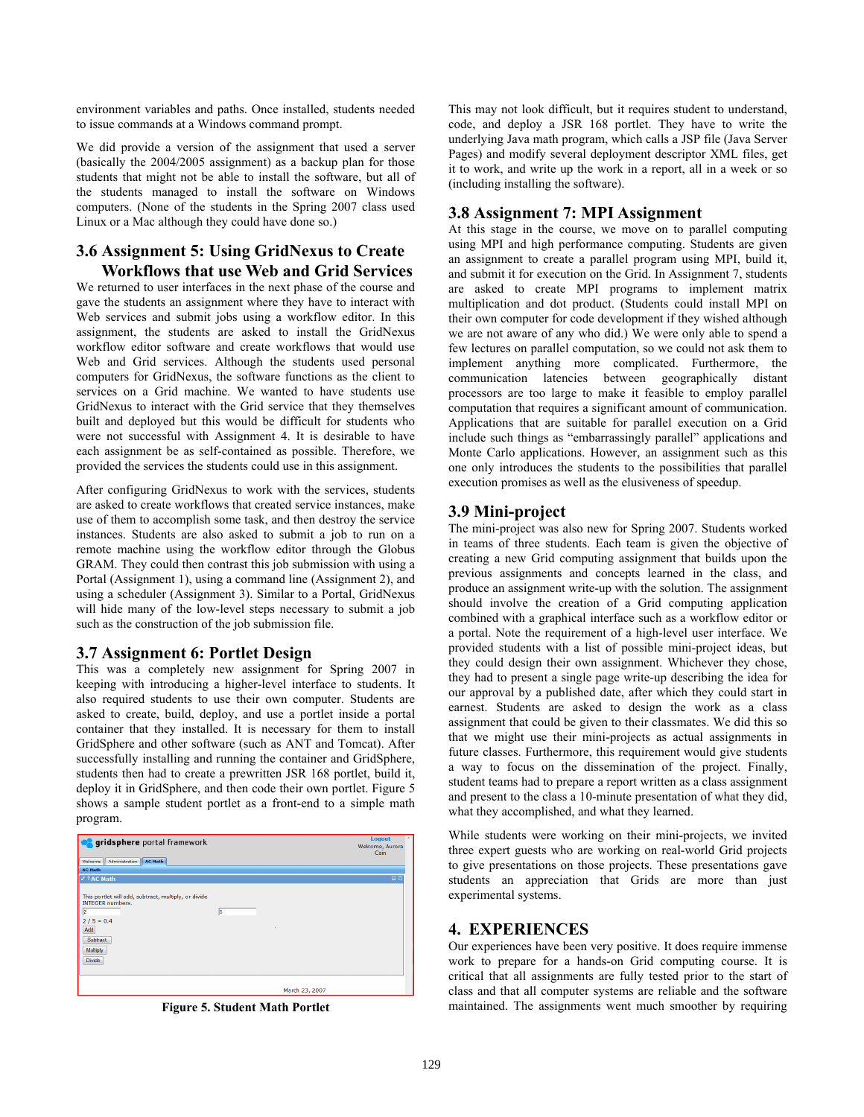environment variables and paths. Once installed, students needed to issue commands at a Windows command prompt.

We did provide a version of the assignment that used a server (basically the 2004/2005 assignment) as a backup plan for those students that might not be able to install the software, but all of the students managed to install the software on Windows computers. (None of the students in the Spring 2007 class used Linux or a Mac although they could have done so.)

## **3.6 Assignment 5: Using GridNexus to Create Workflows that use Web and Grid Services**

We returned to user interfaces in the next phase of the course and gave the students an assignment where they have to interact with Web services and submit jobs using a workflow editor. In this assignment, the students are asked to install the GridNexus workflow editor software and create workflows that would use Web and Grid services. Although the students used personal computers for GridNexus, the software functions as the client to services on a Grid machine. We wanted to have students use GridNexus to interact with the Grid service that they themselves built and deployed but this would be difficult for students who were not successful with Assignment 4. It is desirable to have each assignment be as self-contained as possible. Therefore, we provided the services the students could use in this assignment.

After configuring GridNexus to work with the services, students are asked to create workflows that created service instances, make use of them to accomplish some task, and then destroy the service instances. Students are also asked to submit a job to run on a remote machine using the workflow editor through the Globus GRAM. They could then contrast this job submission with using a Portal (Assignment 1), using a command line (Assignment 2), and using a scheduler (Assignment 3). Similar to a Portal, GridNexus will hide many of the low-level steps necessary to submit a job such as the construction of the job submission file.

### **3.7 Assignment 6: Portlet Design**

This was a completely new assignment for Spring 2007 in keeping with introducing a higher-level interface to students. It also required students to use their own computer. Students are asked to create, build, deploy, and use a portlet inside a portal container that they installed. It is necessary for them to install GridSphere and other software (such as ANT and Tomcat). After successfully installing and running the container and GridSphere, students then had to create a prewritten JSR 168 portlet, build it, deploy it in GridSphere, and then code their own portlet. Figure 5 shows a sample student portlet as a front-end to a simple math program.

| gridsphere portal framework                                                                                                                   | Logout<br>Welcome, Aurora<br>Cain |
|-----------------------------------------------------------------------------------------------------------------------------------------------|-----------------------------------|
| Administration   AC Math<br>Welcome                                                                                                           |                                   |
| <b>AC Math</b>                                                                                                                                |                                   |
| $2$ ? AC Math                                                                                                                                 | $\Box$                            |
| This portlet will add, subtract, multiply, or divide<br><b>INTEGER numbers.</b><br> 2<br>$2/5 = 0.4$<br>Add<br>Subtract<br>Multiply<br>Divide | 5                                 |
|                                                                                                                                               | March 23, 2007                    |

**Figure 5. Student Math Portlet** 

This may not look difficult, but it requires student to understand, code, and deploy a JSR 168 portlet. They have to write the underlying Java math program, which calls a JSP file (Java Server Pages) and modify several deployment descriptor XML files, get it to work, and write up the work in a report, all in a week or so (including installing the software).

# **3.8 Assignment 7: MPI Assignment**

At this stage in the course, we move on to parallel computing using MPI and high performance computing. Students are given an assignment to create a parallel program using MPI, build it, and submit it for execution on the Grid. In Assignment 7, students are asked to create MPI programs to implement matrix multiplication and dot product. (Students could install MPI on their own computer for code development if they wished although we are not aware of any who did.) We were only able to spend a few lectures on parallel computation, so we could not ask them to implement anything more complicated. Furthermore, the communication latencies between geographically distant processors are too large to make it feasible to employ parallel computation that requires a significant amount of communication. Applications that are suitable for parallel execution on a Grid include such things as "embarrassingly parallel" applications and Monte Carlo applications. However, an assignment such as this one only introduces the students to the possibilities that parallel execution promises as well as the elusiveness of speedup.

## **3.9 Mini-project**

The mini-project was also new for Spring 2007. Students worked in teams of three students. Each team is given the objective of creating a new Grid computing assignment that builds upon the previous assignments and concepts learned in the class, and produce an assignment write-up with the solution. The assignment should involve the creation of a Grid computing application combined with a graphical interface such as a workflow editor or a portal. Note the requirement of a high-level user interface. We provided students with a list of possible mini-project ideas, but they could design their own assignment. Whichever they chose, they had to present a single page write-up describing the idea for our approval by a published date, after which they could start in earnest. Students are asked to design the work as a class assignment that could be given to their classmates. We did this so that we might use their mini-projects as actual assignments in future classes. Furthermore, this requirement would give students a way to focus on the dissemination of the project. Finally, student teams had to prepare a report written as a class assignment and present to the class a 10-minute presentation of what they did, what they accomplished, and what they learned.

While students were working on their mini-projects, we invited three expert guests who are working on real-world Grid projects to give presentations on those projects. These presentations gave students an appreciation that Grids are more than just experimental systems.

### **4. EXPERIENCES**

Our experiences have been very positive. It does require immense work to prepare for a hands-on Grid computing course. It is critical that all assignments are fully tested prior to the start of class and that all computer systems are reliable and the software maintained. The assignments went much smoother by requiring